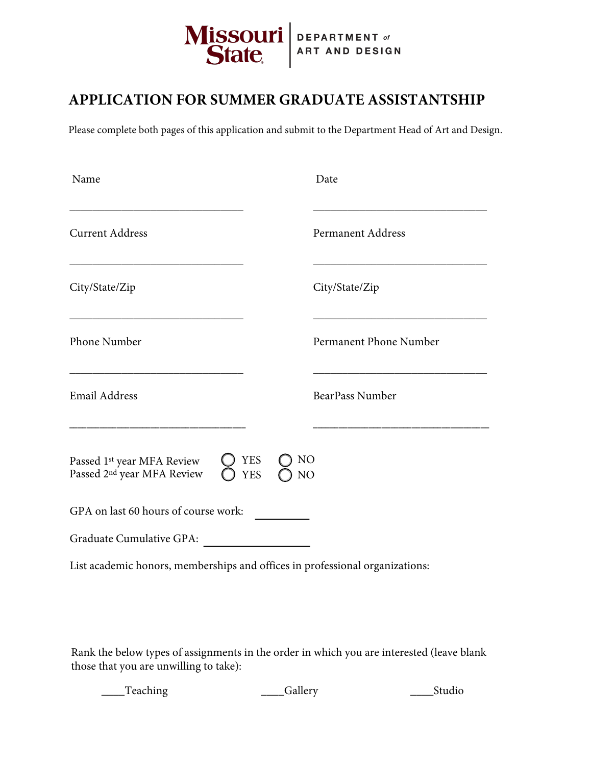

## **APPLICATION FOR SUMMER GRADUATE ASSISTANTSHIP**

Please complete both pages of this application and submit to the Department Head of Art and Design.

| Name                                                                             | Date                                             |
|----------------------------------------------------------------------------------|--------------------------------------------------|
| <b>Current Address</b>                                                           | Permanent Address                                |
| City/State/Zip                                                                   | City/State/Zip                                   |
| Phone Number                                                                     | Permanent Phone Number                           |
| <b>Email Address</b>                                                             | BearPass Number                                  |
| Passed 1 <sup>st</sup> year MFA Review<br>Passed 2 <sup>nd</sup> year MFA Review | <b>YES</b><br>N <sub>O</sub><br><b>YES</b><br>NO |
| GPA on last 60 hours of course work:                                             |                                                  |
| Graduate Cumulative GPA:                                                         |                                                  |
| List academic honors, memberships and offices in professional organizations:     |                                                  |

Rank the below types of assignments in the order in which you are interested (leave blank those that you are unwilling to take):

\_\_\_\_Teaching \_\_\_\_Gallery \_\_\_\_Studio